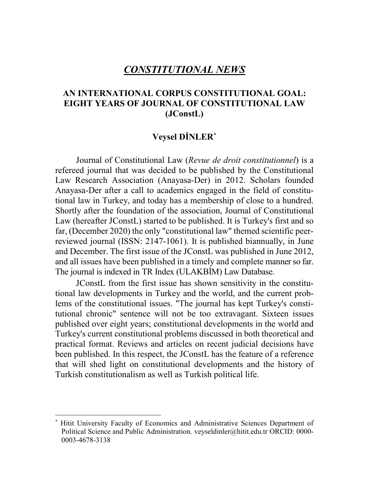# *CONSTITUTIONAL NEWS*

## **AN INTERNATIONAL CORPUS CONSTITUTIONAL GOAL: EIGHT YEARS OF JOURNAL OF CONSTITUTIONAL LAW (JConstL)**

### $V$ eysel **DİNLER**<sup>\*</sup>

Journal of Constitutional Law (*Revue de droit constitutionnel*) is a refereed journal that was decided to be published by the Constitutional Law Research Association (Anayasa-Der) in 2012. Scholars founded Anayasa-Der after a call to academics engaged in the field of constitutional law in Turkey, and today has a membership of close to a hundred. Shortly after the foundation of the association, Journal of Constitutional Law (hereafter JConstL) started to be published. It is Turkey's first and so far, (December 2020) the only "constitutional law" themed scientific peerreviewed journal (ISSN: 2147-1061). It is published biannually, in June and December. The first issue of the JConstL was published in June 2012, and all issues have been published in a timely and complete mannerso far. The journal is indexed in TR Index (ULAKBIM) Law Database.

JConstL from the first issue has shown sensitivity in the constitutional law developments in Turkey and the world, and the current problems of the constitutional issues. "The journal has kept Turkey's constitutional chronic" sentence will not be too extravagant. Sixteen issues published over eight years; constitutional developments in the world and Turkey's current constitutional problems discussed in both theoretical and practical format. Reviews and articles on recent judicial decisions have been published. In this respect, the JConstL has the feature of a reference that will shed light on constitutional developments and the history of Turkish constitutionalism as well as Turkish political life.

 <sup>\*</sup> Hitit University Faculty of Economics and Administrative Sciences Department of Political Science and Public Administration. veyseldinler@hitit.edu.tr ORCID: 0000- 0003-4678-3138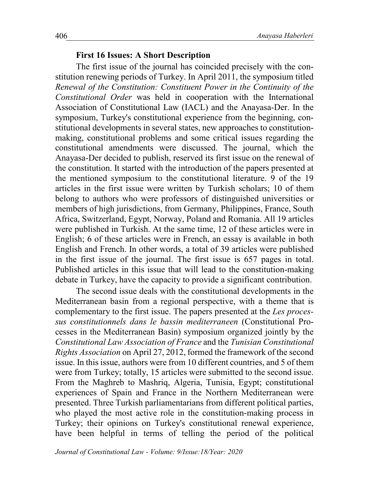#### **First 16 Issues: A Short Description**

The first issue of the journal has coincided precisely with the constitution renewing periods of Turkey. In April 2011, the symposium titled *Renewal of the Constitution: Constituent Power in the Continuity of the Constitutional Order* was held in cooperation with the International Association of Constitutional Law (IACL) and the Anayasa-Der. In the symposium, Turkey's constitutional experience from the beginning, constitutional developments in several states, new approaches to constitutionmaking, constitutional problems and some critical issues regarding the constitutional amendments were discussed. The journal, which the Anayasa-Der decided to publish, reserved its first issue on the renewal of the constitution. It started with the introduction of the papers presented at the mentioned symposium to the constitutional literature. 9 of the 19 articles in the first issue were written by Turkish scholars; 10 of them belong to authors who were professors of distinguished universities or members of high jurisdictions, from Germany, Philippines, France, South Africa, Switzerland, Egypt, Norway, Poland and Romania. All 19 articles were published in Turkish. At the same time, 12 of these articles were in English; 6 of these articles were in French, an essay is available in both English and French. In other words, a total of 39 articles were published in the first issue of the journal. The first issue is 657 pages in total. Published articles in this issue that will lead to the constitution-making debate in Turkey, have the capacity to provide a significant contribution.

The second issue deals with the constitutional developments in the Mediterranean basin from a regional perspective, with a theme that is complementary to the first issue. The papers presented at the *Les processus constitutionnels dans le bassin mediterraneen* (Constitutional Processes in the Mediterranean Basin) symposium organized jointly by the *Constitutional Law Association of France* and the *Tunisian Constitutional Rights Association* on April 27, 2012, formed the framework of the second issue. In this issue, authors were from 10 different countries, and 5 of them were from Turkey; totally, 15 articles were submitted to the second issue. From the Maghreb to Mashriq, Algeria, Tunisia, Egypt; constitutional experiences of Spain and France in the Northern Mediterranean were presented. Three Turkish parliamentarians from different political parties, who played the most active role in the constitution-making process in Turkey; their opinions on Turkey's constitutional renewal experience, have been helpful in terms of telling the period of the political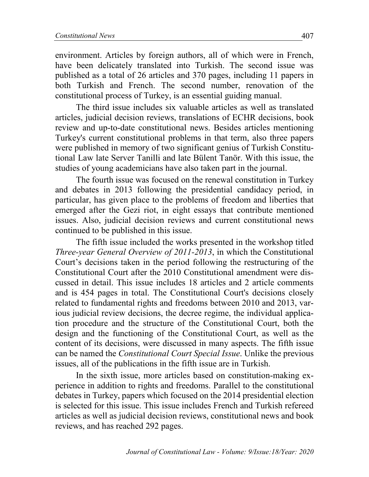environment. Articles by foreign authors, all of which were in French, have been delicately translated into Turkish. The second issue was published as a total of 26 articles and 370 pages, including 11 papers in both Turkish and French. The second number, renovation of the constitutional process of Turkey, is an essential guiding manual.

The third issue includes six valuable articles as well as translated articles, judicial decision reviews, translations of ECHR decisions, book review and up-to-date constitutional news. Besides articles mentioning Turkey's current constitutional problems in that term, also three papers were published in memory of two significant genius of Turkish Constitutional Law late Server Tanilli and late Bülent Tanör. With this issue, the studies of young academicians have also taken part in the journal.

The fourth issue was focused on the renewal constitution in Turkey and debates in 2013 following the presidential candidacy period, in particular, has given place to the problems of freedom and liberties that emerged after the Gezi riot, in eight essays that contribute mentioned issues. Also, judicial decision reviews and current constitutional news continued to be published in this issue.

The fifth issue included the works presented in the workshop titled *Three-year General Overview of 2011-2013*, in which the Constitutional Court's decisions taken in the period following the restructuring of the Constitutional Court after the 2010 Constitutional amendment were discussed in detail. This issue includes 18 articles and 2 article comments and is 454 pages in total. The Constitutional Court's decisions closely related to fundamental rights and freedoms between 2010 and 2013, various judicial review decisions, the decree regime, the individual application procedure and the structure of the Constitutional Court, both the design and the functioning of the Constitutional Court, as well as the content of its decisions, were discussed in many aspects. The fifth issue can be named the *Constitutional Court Special Issue*. Unlike the previous issues, all of the publications in the fifth issue are in Turkish.

In the sixth issue, more articles based on constitution-making experience in addition to rights and freedoms. Parallel to the constitutional debates in Turkey, papers which focused on the 2014 presidential election is selected for this issue. This issue includes French and Turkish refereed articles as well as judicial decision reviews, constitutional news and book reviews, and has reached 292 pages.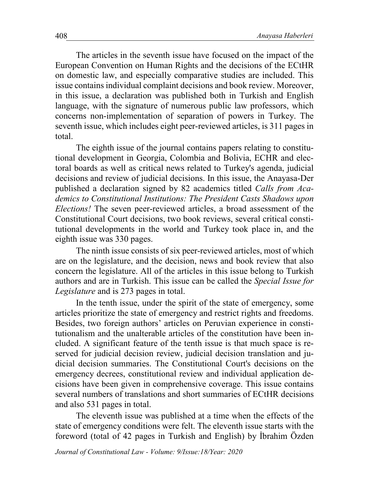The articles in the seventh issue have focused on the impact of the European Convention on Human Rights and the decisions of the ECtHR on domestic law, and especially comparative studies are included. This issue contains individual complaint decisions and book review. Moreover, in this issue, a declaration was published both in Turkish and English language, with the signature of numerous public law professors, which concerns non-implementation of separation of powers in Turkey. The seventh issue, which includes eight peer-reviewed articles, is 311 pages in total.

The eighth issue of the journal contains papers relating to constitutional development in Georgia, Colombia and Bolivia, ECHR and electoral boards as well as critical news related to Turkey's agenda, judicial decisions and review of judicial decisions. In this issue, the Anayasa-Der published a declaration signed by 82 academics titled *Calls from Academics to Constitutional Institutions: The President Casts Shadows upon Elections!* The seven peer-reviewed articles, a broad assessment of the Constitutional Court decisions, two book reviews, several critical constitutional developments in the world and Turkey took place in, and the eighth issue was 330 pages.

The ninth issue consists of six peer-reviewed articles, most of which are on the legislature, and the decision, news and book review that also concern the legislature. All of the articles in this issue belong to Turkish authors and are in Turkish. This issue can be called the *Special Issue for Legislature* and is 273 pages in total.

In the tenth issue, under the spirit of the state of emergency, some articles prioritize the state of emergency and restrict rights and freedoms. Besides, two foreign authors' articles on Peruvian experience in constitutionalism and the unalterable articles of the constitution have been included. A significant feature of the tenth issue is that much space is reserved for judicial decision review, judicial decision translation and judicial decision summaries. The Constitutional Court's decisions on the emergency decrees, constitutional review and individual application decisions have been given in comprehensive coverage. This issue contains several numbers of translations and short summaries of ECtHR decisions and also 531 pages in total.

The eleventh issue was published at a time when the effects of the state of emergency conditions were felt. The eleventh issue starts with the foreword (total of 42 pages in Turkish and English) by İbrahim Özden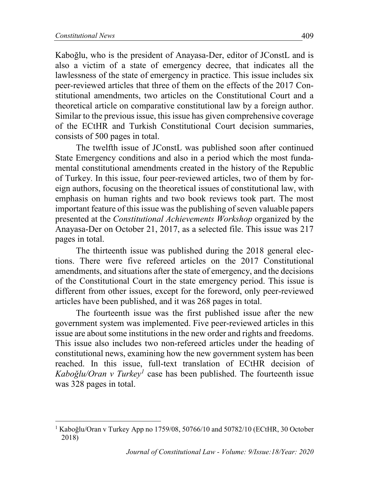Kaboğlu, who is the president of Anayasa-Der, editor of JConstL and is also a victim of a state of emergency decree, that indicates all the lawlessness of the state of emergency in practice. This issue includes six peer-reviewed articles that three of them on the effects of the 2017 Constitutional amendments, two articles on the Constitutional Court and a theoretical article on comparative constitutional law by a foreign author. Similar to the previous issue, this issue has given comprehensive coverage of the ECtHR and Turkish Constitutional Court decision summaries, consists of 500 pages in total.

The twelfth issue of JConstL was published soon after continued State Emergency conditions and also in a period which the most fundamental constitutional amendments created in the history of the Republic of Turkey. In this issue, four peer-reviewed articles, two of them by foreign authors, focusing on the theoretical issues of constitutional law, with emphasis on human rights and two book reviews took part. The most important feature of this issue was the publishing of seven valuable papers presented at the *Constitutional Achievements Workshop* organized by the Anayasa-Der on October 21, 2017, as a selected file. This issue was 217 pages in total.

The thirteenth issue was published during the 2018 general elections. There were five refereed articles on the 2017 Constitutional amendments, and situations after the state of emergency, and the decisions of the Constitutional Court in the state emergency period. This issue is different from other issues, except for the foreword, only peer-reviewed articles have been published, and it was 268 pages in total.

The fourteenth issue was the first published issue after the new government system was implemented. Five peer-reviewed articles in this issue are about some institutions in the new order and rights and freedoms. This issue also includes two non-refereed articles under the heading of constitutional news, examining how the new government system has been reached. In this issue, full-text translation of ECtHR decision of *Kabo÷lu/Oran v Turkey<sup>1</sup>* case has been published. The fourteenth issue was 328 pages in total.

<sup>&</sup>lt;sup>1</sup> Kaboğlu/Oran v Turkey App no 1759/08, 50766/10 and 50782/10 (ECtHR, 30 October 2018)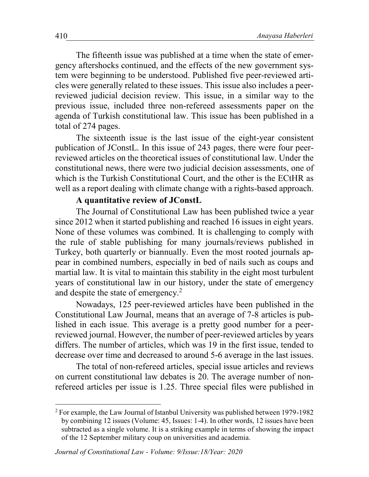The fifteenth issue was published at a time when the state of emergency aftershocks continued, and the effects of the new government system were beginning to be understood. Published five peer-reviewed articles were generally related to these issues. This issue also includes a peerreviewed judicial decision review. This issue, in a similar way to the previous issue, included three non-refereed assessments paper on the agenda of Turkish constitutional law. This issue has been published in a total of 274 pages.

The sixteenth issue is the last issue of the eight-year consistent publication of JConstL. In this issue of 243 pages, there were four peerreviewed articles on the theoretical issues of constitutional law. Under the constitutional news, there were two judicial decision assessments, one of which is the Turkish Constitutional Court, and the other is the ECtHR as well as a report dealing with climate change with a rights-based approach.

### **A quantitative review of JConstL**

The Journal of Constitutional Law has been published twice a year since 2012 when it started publishing and reached 16 issues in eight years. None of these volumes was combined. It is challenging to comply with the rule of stable publishing for many journals/reviews published in Turkey, both quarterly or biannually. Even the most rooted journals appear in combined numbers, especially in bed of nails such as coups and martial law. It is vital to maintain this stability in the eight most turbulent years of constitutional law in our history, under the state of emergency and despite the state of emergency.<sup>2</sup>

Nowadays, 125 peer-reviewed articles have been published in the Constitutional Law Journal, means that an average of 7-8 articles is published in each issue. This average is a pretty good number for a peerreviewed journal. However, the number of peer-reviewed articles by years differs. The number of articles, which was 19 in the first issue, tended to decrease over time and decreased to around 5-6 average in the last issues.

The total of non-refereed articles, special issue articles and reviews on current constitutional law debates is 20. The average number of nonrefereed articles per issue is 1.25. Three special files were published in

 <sup>2</sup> For example, the Law Journal of Istanbul University was published between 1979-1982 by combining 12 issues (Volume: 45, Issues: 1-4). In other words, 12 issues have been subtracted as a single volume. It is a striking example in terms of showing the impact of the 12 September military coup on universities and academia.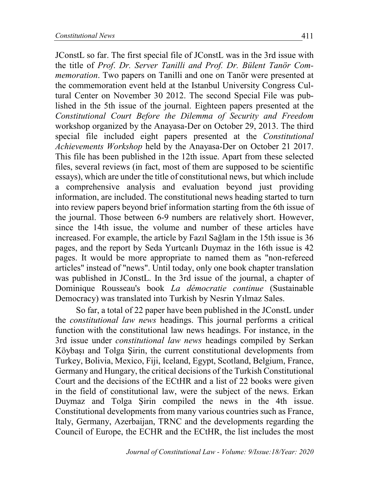JConstL so far. The first special file of JConstL was in the 3rd issue with the title of *Prof*. *Dr. Server Tanilli and Prof. Dr. Bülent Tanör Commemoration*. Two papers on Tanilli and one on Tanör were presented at the commemoration event held at the Istanbul University Congress Cultural Center on November 30 2012. The second Special File was published in the 5th issue of the journal. Eighteen papers presented at the *Constitutional Court Before the Dilemma of Security and Freedom* workshop organized by the Anayasa-Der on October 29, 2013. The third special file included eight papers presented at the *Constitutional Achievements Workshop* held by the Anayasa-Der on October 21 2017. This file has been published in the 12th issue. Apart from these selected files, several reviews (in fact, most of them are supposed to be scientific essays), which are under the title of constitutional news, but which include a comprehensive analysis and evaluation beyond just providing information, are included. The constitutional news heading started to turn into review papers beyond brief information starting from the 6th issue of the journal. Those between 6-9 numbers are relatively short. However, since the 14th issue, the volume and number of these articles have increased. For example, the article by Fazil Sağlam in the 15th issue is 36 pages, and the report by Seda Yurtcanlı Duymaz in the 16th issue is 42 pages. It would be more appropriate to named them as "non-refereed articles" instead of "news". Until today, only one book chapter translation was published in JConstL. In the 3rd issue of the journal, a chapter of Dominique Rousseau's book *La démocratie continue* (Sustainable Democracy) was translated into Turkish by Nesrin Yılmaz Sales.

So far, a total of 22 paper have been published in the JConstL under the *constitutional law news* headings. This journal performs a critical function with the constitutional law news headings. For instance, in the 3rd issue under *constitutional law news* headings compiled by Serkan Köybaşı and Tolga Şirin, the current constitutional developments from Turkey, Bolivia, Mexico, Fiji, Iceland, Egypt, Scotland, Belgium, France, Germany and Hungary, the critical decisions of the Turkish Constitutional Court and the decisions of the ECtHR and a list of 22 books were given in the field of constitutional law, were the subject of the news. Erkan Duymaz and Tolga Sirin compiled the news in the 4th issue. Constitutional developments from many various countries such as France, Italy, Germany, Azerbaijan, TRNC and the developments regarding the Council of Europe, the ECHR and the ECtHR, the list includes the most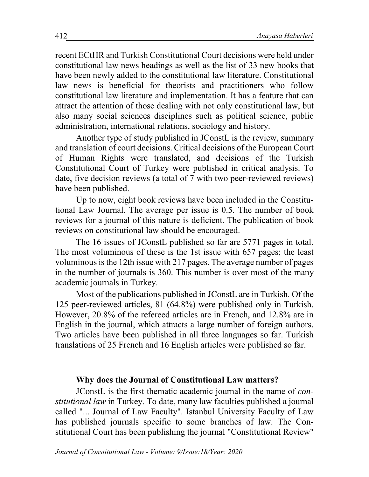recent ECtHR and Turkish Constitutional Court decisions were held under constitutional law news headings as well as the list of 33 new books that have been newly added to the constitutional law literature. Constitutional law news is beneficial for theorists and practitioners who follow constitutional law literature and implementation. It has a feature that can attract the attention of those dealing with not only constitutional law, but also many social sciences disciplines such as political science, public administration, international relations, sociology and history.

Another type of study published in JConstL is the review, summary and translation of court decisions. Critical decisions of the European Court of Human Rights were translated, and decisions of the Turkish Constitutional Court of Turkey were published in critical analysis. To date, five decision reviews (a total of 7 with two peer-reviewed reviews) have been published.

Up to now, eight book reviews have been included in the Constitutional Law Journal. The average per issue is 0.5. The number of book reviews for a journal of this nature is deficient. The publication of book reviews on constitutional law should be encouraged.

The 16 issues of JConstL published so far are 5771 pages in total. The most voluminous of these is the 1st issue with 657 pages; the least voluminous is the 12th issue with 217 pages. The average number of pages in the number of journals is 360. This number is over most of the many academic journals in Turkey.

Most of the publications published in JConstL are in Turkish. Of the 125 peer-reviewed articles, 81 (64.8%) were published only in Turkish. However, 20.8% of the refereed articles are in French, and 12.8% are in English in the journal, which attracts a large number of foreign authors. Two articles have been published in all three languages so far. Turkish translations of 25 French and 16 English articles were published so far.

#### **Why does the Journal of Constitutional Law matters?**

JConstL is the first thematic academic journal in the name of *constitutional law* in Turkey. To date, many law faculties published a journal called "... Journal of Law Faculty". Istanbul University Faculty of Law has published journals specific to some branches of law. The Constitutional Court has been publishing the journal "Constitutional Review"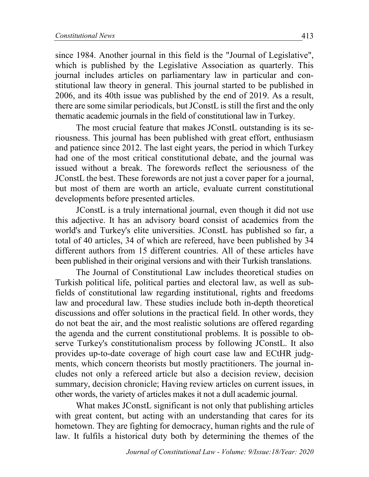since 1984. Another journal in this field is the "Journal of Legislative", which is published by the Legislative Association as quarterly. This journal includes articles on parliamentary law in particular and constitutional law theory in general. This journal started to be published in 2006, and its 40th issue was published by the end of 2019. As a result, there are some similar periodicals, butJConstL is still the first and the only thematic academic journals in the field of constitutional law in Turkey.

The most crucial feature that makes JConstL outstanding is its seriousness. This journal has been published with great effort, enthusiasm and patience since 2012. The last eight years, the period in which Turkey had one of the most critical constitutional debate, and the journal was issued without a break. The forewords reflect the seriousness of the JConstL the best. These forewords are not just a cover paper for a journal, but most of them are worth an article, evaluate current constitutional developments before presented articles.

JConstL is a truly international journal, even though it did not use this adjective. It has an advisory board consist of academics from the world's and Turkey's elite universities. JConstL has published so far, a total of 40 articles, 34 of which are refereed, have been published by 34 different authors from 15 different countries. All of these articles have been published in their original versions and with their Turkish translations.

The Journal of Constitutional Law includes theoretical studies on Turkish political life, political parties and electoral law, as well as subfields of constitutional law regarding institutional, rights and freedoms law and procedural law. These studies include both in-depth theoretical discussions and offer solutions in the practical field. In other words, they do not beat the air, and the most realistic solutions are offered regarding the agenda and the current constitutional problems. It is possible to observe Turkey's constitutionalism process by following JConstL. It also provides up-to-date coverage of high court case law and ECtHR judgments, which concern theorists but mostly practitioners. The journal includes not only a refereed article but also a decision review, decision summary, decision chronicle; Having review articles on current issues, in other words, the variety of articles makes it not a dull academic journal.

What makes JConstL significant is not only that publishing articles with great content, but acting with an understanding that cares for its hometown. They are fighting for democracy, human rights and the rule of law. It fulfils a historical duty both by determining the themes of the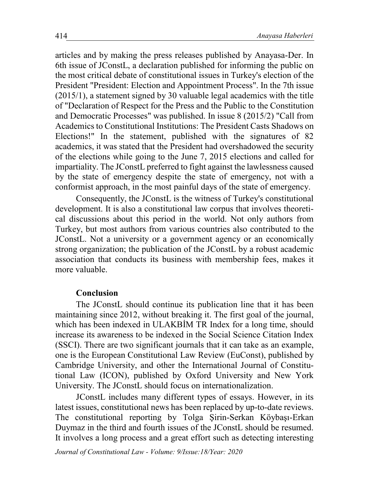articles and by making the press releases published by Anayasa-Der. In 6th issue of JConstL, a declaration published for informing the public on the most critical debate of constitutional issues in Turkey's election of the President "President: Election and Appointment Process". In the 7th issue (2015/1), a statement signed by 30 valuable legal academics with the title of "Declaration of Respect for the Press and the Public to the Constitution and Democratic Processes" was published. In issue 8 (2015/2) "Call from Academics to Constitutional Institutions: The President Casts Shadows on Elections!" In the statement, published with the signatures of 82 academics, it was stated that the President had overshadowed the security of the elections while going to the June 7, 2015 elections and called for impartiality. The JConstL preferred to fight against the lawlessness caused by the state of emergency despite the state of emergency, not with a conformist approach, in the most painful days of the state of emergency.

Consequently, the JConstL is the witness of Turkey's constitutional development. It is also a constitutional law corpus that involves theoretical discussions about this period in the world. Not only authors from Turkey, but most authors from various countries also contributed to the JConstL. Not a university or a government agency or an economically strong organization; the publication of the JConstL by a robust academic association that conducts its business with membership fees, makes it more valuable.

#### **Conclusion**

The JConstL should continue its publication line that it has been maintaining since 2012, without breaking it. The first goal of the journal, which has been indexed in ULAKBIM TR Index for a long time, should increase its awareness to be indexed in the Social Science Citation Index (SSCI). There are two significant journals that it can take as an example, one is the European Constitutional Law Review (EuConst), published by Cambridge University, and other the International Journal of Constitutional Law (ICON), published by Oxford University and New York University. The JConstL should focus on internationalization.

JConstL includes many different types of essays. However, in its latest issues, constitutional news has been replaced by up-to-date reviews. The constitutional reporting by Tolga Sirin-Serkan Köybaşı-Erkan Duymaz in the third and fourth issues of the JConstL should be resumed. It involves a long process and a great effort such as detecting interesting